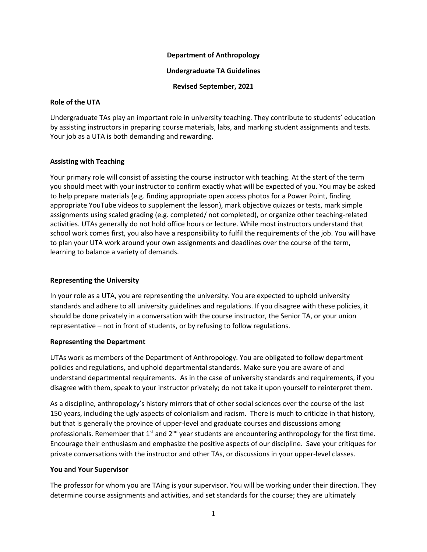#### **Department of Anthropology**

#### **Undergraduate TA Guidelines**

#### **Revised September, 2021**

#### **Role of the UTA**

Undergraduate TAs play an important role in university teaching. They contribute to students' education by assisting instructors in preparing course materials, labs, and marking student assignments and tests. Your job as a UTA is both demanding and rewarding.

### **Assisting with Teaching**

Your primary role will consist of assisting the course instructor with teaching. At the start of the term you should meet with your instructor to confirm exactly what will be expected of you. You may be asked to help prepare materials (e.g. finding appropriate open access photos for a Power Point, finding appropriate YouTube videos to supplement the lesson), mark objective quizzes or tests, mark simple assignments using scaled grading (e.g. completed/ not completed), or organize other teaching-related activities. UTAs generally do not hold office hours or lecture. While most instructors understand that school work comes first, you also have a responsibility to fulfil the requirements of the job. You will have to plan your UTA work around your own assignments and deadlines over the course of the term, learning to balance a variety of demands.

## **Representing the University**

In your role as a UTA, you are representing the university. You are expected to uphold university standards and adhere to all university guidelines and regulations. If you disagree with these policies, it should be done privately in a conversation with the course instructor, the Senior TA, or your union representative – not in front of students, or by refusing to follow regulations.

### **Representing the Department**

UTAs work as members of the Department of Anthropology. You are obligated to follow department policies and regulations, and uphold departmental standards. Make sure you are aware of and understand departmental requirements. As in the case of university standards and requirements, if you disagree with them, speak to your instructor privately; do not take it upon yourself to reinterpret them.

As a discipline, anthropology's history mirrors that of other social sciences over the course of the last 150 years, including the ugly aspects of colonialism and racism. There is much to criticize in that history, but that is generally the province of upper-level and graduate courses and discussions among professionals. Remember that  $1<sup>st</sup>$  and  $2<sup>nd</sup>$  year students are encountering anthropology for the first time. Encourage their enthusiasm and emphasize the positive aspects of our discipline. Save your critiques for private conversations with the instructor and other TAs, or discussions in your upper-level classes.

### **You and Your Supervisor**

The professor for whom you are TAing is your supervisor. You will be working under their direction. They determine course assignments and activities, and set standards for the course; they are ultimately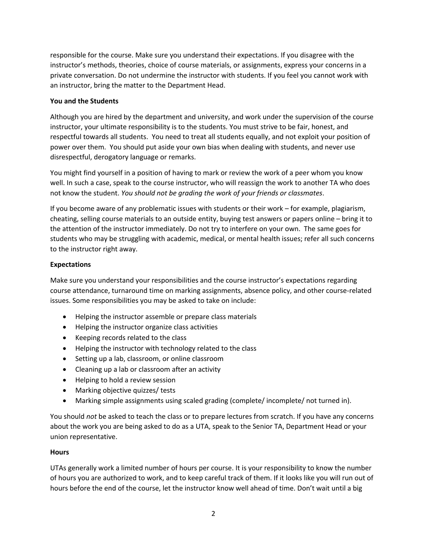responsible for the course. Make sure you understand their expectations. If you disagree with the instructor's methods, theories, choice of course materials, or assignments, express your concerns in a private conversation. Do not undermine the instructor with students. If you feel you cannot work with an instructor, bring the matter to the Department Head.

# **You and the Students**

Although you are hired by the department and university, and work under the supervision of the course instructor, your ultimate responsibility is to the students. You must strive to be fair, honest, and respectful towards all students. You need to treat all students equally, and not exploit your position of power over them. You should put aside your own bias when dealing with students, and never use disrespectful, derogatory language or remarks.

You might find yourself in a position of having to mark or review the work of a peer whom you know well. In such a case, speak to the course instructor, who will reassign the work to another TA who does not know the student. *You should not be grading the work of your friends or classmates*.

If you become aware of any problematic issues with students or their work – for example, plagiarism, cheating, selling course materials to an outside entity, buying test answers or papers online – bring it to the attention of the instructor immediately. Do not try to interfere on your own. The same goes for students who may be struggling with academic, medical, or mental health issues; refer all such concerns to the instructor right away.

# **Expectations**

Make sure you understand your responsibilities and the course instructor's expectations regarding course attendance, turnaround time on marking assignments, absence policy, and other course-related issues. Some responsibilities you may be asked to take on include:

- Helping the instructor assemble or prepare class materials
- Helping the instructor organize class activities
- Keeping records related to the class
- Helping the instructor with technology related to the class
- Setting up a lab, classroom, or online classroom
- Cleaning up a lab or classroom after an activity
- Helping to hold a review session
- Marking objective quizzes/ tests
- Marking simple assignments using scaled grading (complete/ incomplete/ not turned in).

You should *not* be asked to teach the class or to prepare lectures from scratch. If you have any concerns about the work you are being asked to do as a UTA, speak to the Senior TA, Department Head or your union representative.

### **Hours**

UTAs generally work a limited number of hours per course. It is your responsibility to know the number of hours you are authorized to work, and to keep careful track of them. If it looks like you will run out of hours before the end of the course, let the instructor know well ahead of time. Don't wait until a big